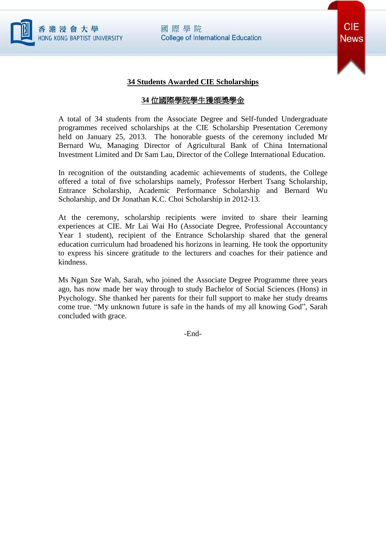

## 國際學院 **College of International Education**



## **34 Students Awarded CIE Scholarships**

## **34** 位國際學院學生獲頒獎學金

A total of 34 students from the Associate Degree and Self-funded Undergraduate programmes received scholarships at the CIE Scholarship Presentation Ceremony held on January 25, 2013. The honorable guests of the ceremony included Mr Bernard Wu, Managing Director of Agricultural Bank of China International Investment Limited and Dr Sam Lau, Director of the College International Education.

In recognition of the outstanding academic achievements of students, the College offered a total of five scholarships namely, Professor Herbert Tsang Scholarship, Entrance Scholarship, Academic Performance Scholarship and Bernard Wu Scholarship, and Dr Jonathan K.C. Choi Scholarship in 2012-13.

At the ceremony, scholarship recipients were invited to share their learning experiences at CIE. Mr Lai Wai Ho (Associate Degree, Professional Accountancy Year 1 student), recipient of the Entrance Scholarship shared that the general education curriculum had broadened his horizons in learning. He took the opportunity to express his sincere gratitude to the lecturers and coaches for their patience and kindness.

Ms Ngan Sze Wah, Sarah, who joined the Associate Degree Programme three years ago, has now made her way through to study Bachelor of Social Sciences (Hons) in Psychology. She thanked her parents for their full support to make her study dreams come true. "My unknown future is safe in the hands of my all knowing God", Sarah concluded with grace.

-End-